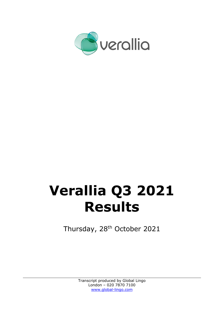

# **Verallia Q3 2021 Results**

Thursday, 28<sup>th</sup> October 2021

Transcript produced by Global Lingo London – 020 7870 7100 [www.global-lingo.com](http://www.global-lingo.com/)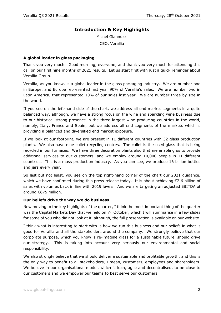# **Introduction & Key Highlights**

Michel Giannuzzi CEO, Verallia

#### **A global leader in glass packaging**

Thank you very much. Good morning, everyone, and thank you very much for attending this call on our first nine months of 2021 results. Let us start first with just a quick reminder about Verallia Group.

Verallia, as you know, is a global leader in the glass packaging industry. We are number one in Europe, and Europe represented last year 90% of Verallia's sales. We are number two in Latin America, that represented 10% of our sales last year. We are number three by size in the world.

If you see on the left-hand side of the chart, we address all end market segments in a quite balanced way, although, we have a strong focus on the wine and sparkling wine business due to our historical strong presence in the three largest wine producing countries in the world, namely, Italy, France and Spain, but we address all end segments of the markets which is providing a balanced and diversified end market exposure.

If we look at our footprint, we are present in 11 different countries with 32 glass production plants. We also have nine cullet recycling centres. The cullet is the used glass that is being recycled in our furnaces. We have three decoration plants also that are enabling us to provide additional services to our customers, and we employ around 10,000 people in 11 different countries. This is a mass production industry. As you can see, we produce 16 billion bottles and jars every year.

So last but not least, you see on the top right-hand corner of the chart our 2021 guidance, which we have confirmed during this press release today. It is about achieving €2.6 billion of sales with volumes back in line with 2019 levels. And we are targeting an adjusted EBITDA of around €675 million.

#### **Our beliefs drive the way we do business**

Now moving to the key highlights of the quarter, I think the most important thing of the quarter was the Capital Markets Day that we held on  $7<sup>th</sup>$  October, which I will summarise in a few slides for some of you who did not look at it, although, the full presentation is available on our website.

I think what is interesting to start with is how we run this business and our beliefs in what is good for Verallia and all the stakeholders around the company. We strongly believe that our corporate purpose, which you know is re-imagine glass for a sustainable future, should drive our strategy. This is taking into account very seriously our environmental and social responsibility.

We also strongly believe that we should deliver a sustainable and profitable growth, and this is the only way to benefit to all stakeholders, I mean, customers, employees and shareholders. We believe in our organisational model, which is lean, agile and decentralised, to be close to our customers and we empower our teams to best serve our customers.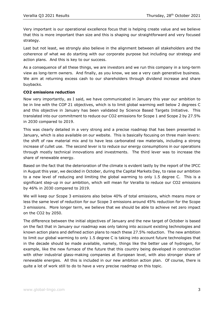Very important is our operational excellence focus that is helping create value and we believe that this is more important than size and this is shaping our straightforward and very focused strategy.

Last but not least, we strongly also believe in the alignment between all stakeholders and the coherence of what we do starting with our corporate purpose but including our strategy and action plans. And this is key to our success.

As a consequence of all these things, we are investors and we run this company in a long-term view as long-term owners. And finally, as you know, we see a very cash generative business. We aim at returning excess cash to our shareholders through dividend increase and share buybacks.

### **CO2 emissions reduction**

Now very importantly, as I said, we have communicated in January this year our ambition to be in line with the COP 21 objectives, which is to limit global warming well below 2 degrees C and this objective in January has been validated by Science Based Targets Initiative. This translated into our commitment to reduce our CO2 emissions for Scope 1 and Scope 2 by 27.5% in 2030 compared to 2019.

This was clearly detailed in a very strong and a precise roadmap that has been presented in January, which is also available on our website. This is basically focusing on three main levers: the shift of raw material mix and to have less carbonated raw materials, including a strong increase of cullet use. The second lever is to reduce our energy consumptions in our operations through mostly technical innovations and investments. The third lever was to increase the share of renewable energy.

Based on the fact that the deterioration of the climate is evident lastly by the report of the IPCC in August this year, we decided in October, during the Capital Markets Day, to raise our ambition to a new level of reducing and limiting the global warming to only 1.5 degree C. This is a significant step-up in our ambition, which will mean for Verallia to reduce our CO2 emissions by 46% in 2030 compared to 2019.

We will keep our Scope 3 emissions also below 40% of total emissions, which means more or less the same level of reduction for our Scope 3 emissions around 45% reduction for the Scope 3 emissions. More longer term, we believe that we should be able to achieve net zero impact on the CO2 by 2050.

The difference between the initial objectives of January and the new target of October is based on the fact that in January our roadmap was only taking into account existing technologies and known action plans and defined action plans to reach these 27.5% reduction. The new ambition to limit our global warming to only 1.5 degree C is taking into account future technologies that in the decade should be made available, namely, things like the better use of hydrogen, for example, like the new furnace of the future that this country being developed in construction with other industrial glass-making companies at European level, with also stronger share of renewable energies. All this is included in our new ambition action plan. Of course, there is quite a lot of work still to do to have a very precise roadmap on this topic.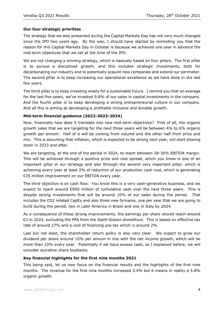### **Our four strategic priorities**

The strategy that we also presented during the Capital Markets Day has not very much changed since the IPO two years ago. By the way, I should have started by reminding you that the reason for this Capital Markets Day in October is because we achieved one year in advance the mid-term objectives that we set at the time of the IPO.

We are not changing a winning strategy, which is basically based on four pillars. The first pillar is to pursue a disciplined growth, and this includes strategic investments, both for decarbonating our industry and to potentially acquire new companies and extend our perimeter. The second pillar is to keep increasing our operational excellence as we have done in the last few years.

The third pillar is to keep investing wisely for a sustainable future. I remind you that on average for the last five years, we've invested 9.8% of our sales in capital investments in the company. And the fourth pillar is to keep developing a strong entrepreneurial culture in our company. And all this is aiming at developing a profitable inclusive and durable growth.

#### **Mid-term financial guidance (2022-2023-2024)**

Now, financially how does it translate into new mid-term objectives? First of all, the organic growth sales that we are targeting for the next three years will be between 4% to 6% organic growth per annum. Half of it will be coming from volume and the other half from price and mix. This is assuming that inflation, which is expected to be strong next year, will start slowing down in 2023 and after.

We are targeting, at the end of the period in 2024, to reach between 28-30% EBITDA margin. This will be achieved through a positive price and cost spread, which you know is one of an important pillar in our strategy and also through the second very important pillar, which is achieving every year at least 2% of reduction of our production cash cost, which is generating €35 million improvement on our EBITDA every year.

The third objective is on cash flow. You know this is a very cash-generative business, and we expect to reach around €900 million of cumulative cash over the next three years. This is despite strong investments that will be around 10% of our sales during the period. That includes the CO2 related CapEx and also three new furnaces, one per year that we are going to build during the period, two in Latin America in Brazil and one in Italy by 2024.

As a consequence of these strong improvements, the earnings per share should reach around €3 in 2024, excluding the PPA from the Saint-Gobain divestiture. This is based on effective tax rate of around 27% and a cost of financing pre-tax which is around 2%.

Last but not least, the shareholder return policy is also very clear. We expect to grow our dividend per share around 10% per annum in line with the net income growth, which will be more than 10% every year. Potentially if we have excess cash, as I explained before, we will consider accretive share buybacks.

#### **Key financial highlights for the first nine months 2021**

This being said, let us now focus on the financial results and the highlights of the first nine months. The revenue for the first nine months increased 3.4% but it means in reality a 5.8% organic growth.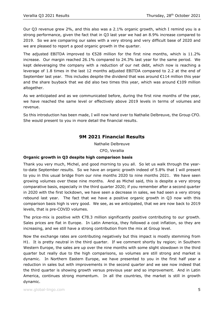Our Q3 revenue grew 2%, and this also was a 2.1% organic growth, which I remind you is a strong performance, given the fact that in Q3 last year we had an 8.9% increase compared to 2019. So we are comparing our sales with a very strong and very difficult base of 2020 and we are pleased to report a good organic growth in the quarter.

The adjusted EBITDA improved to  $\epsilon$ 528 million for the first nine months, which is 11.2% increase. Our margin reached 26.1% compared to 24.3% last year for the same period. We kept deleveraging the company with a reduction of our net debt, which now is reaching a leverage of 1.8 times in the last 12 months adjusted EBITDA compared to 2.2 at the end of September last year. This includes despite the dividend that was around  $\epsilon$ 114 million this year and the share buyback that we did also two times this year, which was around  $\epsilon$ 109 million altogether.

As we anticipated and as we communicated before, during the first nine months of the year, we have reached the same level or effectively above 2019 levels in terms of volumes and revenue.

So this introduction has been made, I will now hand over to Nathalie Delbreuve, the Group CFO. She would present to you in more detail the financial results.

## **9M 2021 Financial Results**

Nathalie Delbreuve

CFO, Verallia

#### **Organic growth in Q3 despite high comparison basis**

Thank you very much, Michel, and good morning to you all. So let us walk through the yearto-date September results. So we have an organic growth indeed of 5.8% that I will present to you in this usual bridge from our nine months 2020 to nine months 2021. We have seen growing volumes over these nine months. And as Michel said, this is despite a very strong comparative basis, especially in the third quarter 2020; if you remember after a second quarter in 2020 with the first lockdown, we have seen a decrease in sales, we had seen a very strong rebound last year. The fact that we have a positive organic growth in Q3 now with this comparison basis high is very good. We see, as we anticipated, that we are now back to 2019 levels, that is pre-COVID volumes.

The price-mix is positive with €78.3 million significantly positive contributing to our growth. Sales prices are flat in Europe. In Latin America, they followed a cost inflation, so they are increasing, and we still have a strong contribution from the mix at Group level.

Now the exchange rates are contributing negatively but this impact is mostly stemming from H1. It is pretty neutral in the third quarter. If we comment shortly by region; in Southern Western Europe, the sales are up over the nine months with some slight slowdown in the third quarter but really due to the high comparisons, so volumes are still strong and market is dynamic. In Northern Eastern Europe, we have presented to you in the first half year a reduction in sales but with improvements in the second quarter and we see now indeed that the third quarter is showing growth versus previous year and so improvement. And in Latin America, continues strong momentum. In all the countries, the market is still in growth dynamic.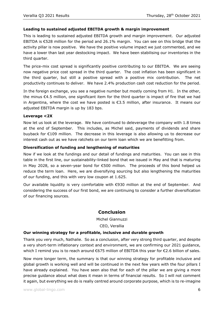## **Leading to sustained adjusted EBITDA growth & margin improvement**

This is leading to sustained adjusted EBITDA growth and margin improvement. Our adjusted EBITDA is €528 million for the period and 26.1% margin. You can see on this bridge that the activity pillar is now positive. We have the positive volume impact we just commented, and we have a lower than last year destocking impact. We have been stabilising our inventories in the third quarter.

The price-mix cost spread is significantly positive contributing to our EBITDA. We are seeing now negative price cost spread in the third quarter. The cost inflation has been significant in the third quarter, but still a positive spread with a positive mix contribution. The net productivity continues to deliver. We have 2.4% production cash cost reduction for the period.

In the foreign exchange, you see a negative number but mostly coming from H1. In the other, the minus €4.5 million, one significant item for the third quarter is impact of fire that we had in Argentina, where the cost we have posted is €3.5 million, after insurance. It means our adjusted EBITDA margin is up by 183 bps.

#### **Leverage <2X**

Now let us look at the leverage. We have continued to deleverage the company with 1.8 times at the end of September. This includes, as Michel said, payments of dividends and share buyback for €109 million. The decrease in this leverage is also allowing us to decrease our interest cash out as we have ratchets on our term loan which we are benefitting from.

#### **Diversification of funding and lengthening of maturities**

Now if we look at the fundings and our detail of fundings and maturities. You can see in this table in the first line, our sustainability-linked bond that we issued in May and that is maturing in May 2028, so a seven-year bond for €500 million. The proceeds of this bond helped us reduce the term loan. Here, we are diversifying sourcing but also lengthening the maturities of our funding, and this with very low coupon at 1.625.

Our available liquidity is very comfortable with €930 million at the end of September. And considering the success of our first bond, we are continuing to consider a further diversification of our financing sources.

## **Conclusion**

Michel Giannuzzi

#### CEO, Verallia

#### **Our winning strategy for a profitable, inclusive and durable growth**

Thank you very much, Nathalie. So as a conclusion, after very strong third quarter, and despite a very short-term inflationary context and environment, we are confirming our 2021 guidance, which I remind you is to reach around €675 million of EBITDA this year for €2.6 billion of sales.

Now more longer term, the summary is that our winning strategy for profitable inclusive and global growth is working well and will be continued in the next few years with the four pillars I have already explained. You have seen also that for each of the pillar we are giving a more precise guidance about what does it mean in terms of financial results. So I will not comment it again, but everything we do is really centred around corporate purpose, which is to re-imagine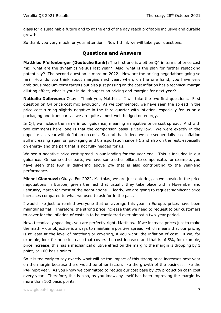glass for a sustainable future and to at the end of the day reach profitable inclusive and durable growth.

So thank you very much for your attention. Now I think we will take your questions.

# **Questions and Answers**

**Matthias Pfeifenberger (Deutsche Bank):** The first one is a bit on Q4 in terms of price cost mix, what are the dynamics versus last year? Also, what is the plan for further restocking potentially? The second question is more on 2022. How are the pricing negotiations going so far? How do you think about margins next year, when, on the one hand, you have very ambitious medium-term targets but also just passing on the cost inflation has a technical margin diluting effect; what is your initial thoughts on pricing and margins for next year?

**Nathalie Delbreuve:** Okay. Thank you, Matthias. I will take the two first questions. First question on Q4 price cost mix evolution. As we commented, we have seen the spread in the price cost turning slightly negative in the third quarter with inflation, especially for us on a packaging and transport as we are quite almost well-hedged on energy.

In Q4, we include the same in our guidance, meaning a negative price cost spread. And with two comments here, one is that the comparison basis is very low. We were exactly in the opposite last year with deflation on cost. Second that indeed we see sequentially cost inflation still increasing again on packaging and transportation since H1 and also on the rest, especially on energy and the part that is not fully hedged for us.

We see a negative price cost spread in our landing for the year end. This is included in our guidance. On some other parts, we have some other pillars to compensate, for example, you have seen that PAP is delivering above 2% that is also contributing to the year-end performance.

**Michel Giannuzzi:** Okay. For 2022, Matthias, we are just entering, as we speak, in the price negotiations in Europe, given the fact that usually they take place within November and February, March for most of the negotiations. Clearly, we are going to request significant price increases compared to what we used to ask for in the past.

I would like just to remind everyone that on average this year in Europe, prices have been maintained flat. Therefore, the strong price increase that we need to request to our customers to cover for the inflation of costs is to be considered over almost a two-year period.

Now, technically speaking, you are perfectly right, Matthias. If we increase prices just to make the math – our objective is always to maintain a positive spread, which means that our pricing is at least at the level of matching or covering, if you want, the inflation of cost. If we, for example, look for price increase that covers the cost increase and that is of 5%, for example, price increase, this has a mechanical dilutive effect on the margin: the margin is dropping by 1 point, or 100 basis points.

So it is too early to say exactly what will be the impact of this strong price increases next year on the margin because there would be other factors like the growth of the business, like the PAP next year. As you know we committed to reduce our cost base by 2% production cash cost every year. Therefore, this is also, as you know, by itself has been improving the margin by more than 100 basis points.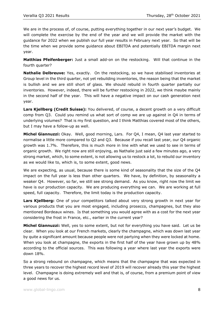We are in the process of, of course, putting everything together in our next year's budget. We will complete the exercise by the end of the year and we will provide the market with the guidance for 2022 when we publish our full year results in February next year. So that will be the time when we provide some guidance about EBITDA and potentially EBITDA margin next year.

**Matthias Pfeifenberger:** Just a small add-on on the restocking. Will that continue in the fourth quarter?

**Nathalie Delbreuve:** Yes, exactly. On the restocking, so we have stabilised inventories at Group level in the third quarter, not yet rebuilding inventories, the reason being that the market is bullish and we are still short of glass. We should rebuild in fourth quarter partially our inventories. However, indeed, there will be further restocking in 2022, we think maybe mainly in the second half of the year. This will have a negative impact on our cash generation next year.

**Lars Kjellberg (Credit Suisse):** You delivered, of course, a decent growth on a very difficult comp from Q3. Could you remind us what sort of comp we are up against in Q4 in terms of underlying volumes? That is my first question, and I think Matthias covered most of the others, but I may have a follow-up as well.

**Michel Giannuzzi:** Okay. Well, good morning, Lars. For Q4, I mean, Q4 last year started to normalise a little more compared to Q2 and Q3. Because if you recall last year, our Q4 organic growth was 1.7%. Therefore, this is much more in line with what we used to see in terms of organic growth. We right now are still enjoying, as Nathalie just said a few minutes ago, a very strong market, which, to some extent, is not allowing us to restock a lot, to rebuild our inventory as we would like to, which is, to some extent, good news.

We are expecting, as usual, because there is some kind of seasonality that the size of the Q4 impact on the full year is less than other quarters. We have, by definition, by seasonality a weaker Q4. However, so far, we still see strong demand. As you know, right now the limit we have is our production capacity. We are producing everything we can. We are working at full speed, full capacity. Therefore, the limit today is the production capacity.

**Lars Kjellberg:** One of your competitors talked about very strong growth in next year for various products that you are most engaged, including prosecco, champagnes, but they also mentioned Bordeaux wines. Is that something you would agree with as a cost for the next year considering the frost in France, etc., earlier in the current year?

**Michel Giannuzzi:** Well, yes to some extent, but not for everything you have said. Let us be clear. When you look at our French markets, clearly the champagne, which was down last year by quite a significant amount because people were not partying when they were locked at home. When you look at champagne, the exports in the first half of the year have grown up by 48% according to the official sources. This was following a year where last year the exports were down 18%.

So a strong rebound on champagne, which means that the champagne that was expected in three years to recover the highest record level of 2019 will recover already this year the highest level. Champagne is doing extremely well and that is, of course, from a premium point of view a good news for us.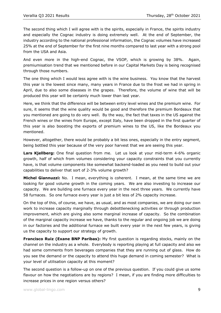The second thing which I will agree with is the spirits, especially in France, the spirits industry and especially the Cognac industry is doing extremely well. At the end of September, the industry according to the national professional information, the Cognac volumes have increased 25% at the end of September for the first nine months compared to last year with a strong pool from the USA and Asia.

And even more in the high-end Cognac, the VSOP, which is growing by 38%. Again, premiumisation trend that we mentioned before in our Capital Markets Day is being recognised through those numbers.

The one thing which I would less agree with is the wine business. You know that the harvest this year is the lowest since many, many years in France due to the frost we had in spring in April, due to also some diseases in the grapes. Therefore, the volume of wine that will be produced this year will be certainly much lower than last year.

Here, we think that the difference will be between entry level wines and the premium wine. For sure, it seems that the wine quality would be good and therefore the premium Bordeaux that you mentioned are going to do very well. By the way, the fact that taxes in the US against the French wines or the wines from Europe, except Italy, have been dropped in the first quarter of this year is also boosting the exports of premium wines to the US, like the Bordeaux you mentioned.

However, altogether, there would be probably a bit less ones, especially in the entry segment, being bottled this year because of the very poor harvest that we are seeing this year.

**Lars Kjellberg:** One final question from me. Let us look at your mid-term 4-6% organic growth, half of which from volumes considering your capacity constraints that you currently have, is that volume components like somewhat backend-loaded as you need to build out your capabilities to deliver that sort of 2-3% volume growth?

**Michel Giannuzzi:** No. I mean, everything is coherent. I mean, at the same time we are looking for good volume growth in the coming years. We are also investing to increase our capacity. We are building one furnace every year in the next three years. We currently have 58 furnaces. So one furnace every year is just a bit less of 2% capacity increase.

On the top of this, of course, we have, as usual, and as most companies, we are doing our own work to increase capacity marginally through debottlenecking activities or through production improvement, which are giving also some marginal increase of capacity. So the combination of the marginal capacity increase we have, thanks to the regular and ongoing job we are doing in our factories and the additional furnace we built every year in the next few years, is giving us the capacity to support our strategy of growth.

**Francisco Ruiz (Exane BNP Paribas):** My first question is regarding stocks, mainly on the channel on the industry as a whole. Everybody is reporting playing at full capacity and also we had some comments from beverages companies that they are running out of glass. How do you see the demand or the capacity to attend this huge demand in coming semester? What is your level of utilisation capacity at this moment?

The second question is a follow-up on one of the previous question. If you could give us some flavour on how the negotiations are by regions? I mean, if you are finding more difficulties to increase prices in one region versus others?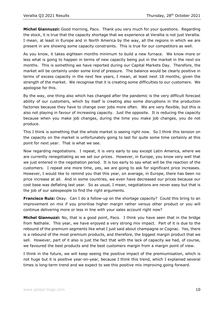**Michel Giannuzzi:** Good morning, Paco. Thank you very much for your questions. Regarding the stock, it is true that the capacity shortage that we experience at Verallia is not just Verallia. I mean, at least in Europe and in North America by the way, all the regions in which we are present in are showing some capacity constraints. This is true for our competitors as well.

As you know, it takes eighteen months minimum to build a new furnace. We know more or less what is going to happen in terms of new capacity being put in the market in the next six months. This is something we have reported during our Capital Markets Day. Therefore, the market will be certainly under some kind of pressure. The balance would be clearly positive in terms of excess capacity in the next few years, I mean, at least next 18 months, given the strength of the market. We recognise that it is creating some difficulties to our customers. We apologise for this.

By the way, one thing also which has changed after the pandemic is the very difficult forecast ability of our customers, which by itself is creating also some disruptions in the production factories because they have to change over jobs more often. We are very flexible, but this is also not playing in favour of increasing capacity. Just the opposite. It is reducing the capacity because when you make job changes, during the time you make job changes, you do not produce.

This I think is something that the whole market is seeing right now. So I think this tension on the capacity on the market is unfortunately going to last for quite some time certainly at this point for next year. That is what we see.

Now regarding negotiations. I repeat, it is very early to say except Latin America, where we are currently renegotiating as we set our prices. However, in Europe, you know very well that we just entered in the negotiation period. It is too early to say what will be the reaction of the customers. I repeat one more time, yes, we are going to ask for significant price increases. However, I would like to remind you that this year, on average, in Europe, there has been no price increase at all. And in some countries, we even have decreased our prices because our cost base was deflating last year. So as usual, I mean, negotiations are never easy but that is the job of our salespeople to find the right arguments.

**Francisco Ruiz:** Okay. Can I do a follow-up on the shortage capacity? Could this bring to an improvement on mix if you prioritise higher margin rather versus other product or you will continue delivering more or less in line with your sales account right now?

**Michel Giannuzzi:** No, that is a good point, Paco. I think you have seen that in the bridge from Nathalie. This year, we have enjoyed a very strong mix impact. Part of it is due to the rebound of the premium segments like what I just said about champagne or Cognac. Yes, there is a rebound of the most premium products, and therefore, the biggest margin product that we sell. However, part of it also is just the fact that with the lack of capacity we had, of course, we favoured the best products and the best customers margin from a margin point of view.

I think in the future, we will keep seeing the positive impact of the premiumisation, which is not huge but it is positive year-on-year, because I think this trend, which I explained several times is long-term trend and we expect to see this positive mix improving going forward.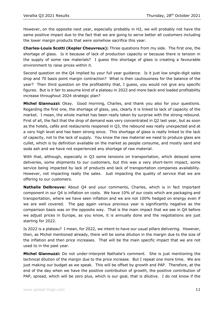However, on the opposite next year, especially probably in H2, we will probably not have the same positive impact due to the fact that we are going to serve better all customers including the lower margin products that were somehow sacrifice this year.

**Charles-Louis Scotti (Kepler Cheuvreux):** Three questions from my side. The first one, the shortage of glass. Is it because of lack of production capacity or because there is tension in the supply of some raw materials? I guess this shortage of glass is creating a favourable environment to raise prices within it.

Second question on the Q4 implied by your full year guidance. Is it just low single-digit sales drop and 70 basis point margin contraction? What is then cautiousness for the balance of the year? Then third question on the profitability that, I guess, you would not give any specific figures. But is it fair to assume kind of a plateau in 2022 and more back-end loaded profitability increase throughout 2024 strategic plan?

**Michel Giannuzzi:** Okay. Good morning, Charles, and thank you also for your questions. Regarding the first one, the shortage of glass, yes, clearly it is linked to lack of capacity of the market. I mean, the whole market has been really taken by surprise with the strong rebound. First of all, the fact that the drop of demand was very concentrated in Q2 last year, but as soon as the hotels, cafés and restaurants reopened in Q3, the rebound was really unexpected and at a very high level and has been strong since. This shortage of glass is really linked to the lack of capacity, not to the lack of supply. You know the raw material we need to produce glass are cullet, which is by definition available on the market as people consume, and mostly sand and soda ash and we have not experienced any shortage of raw material.

With that, although, especially in Q3 some tensions on transportation, which delayed some deliveries, some shipments to our customers, but this was a very short-term impact, some service being impacted by lack of products and lack of transportation companies availability. However, not impacting really the sales. Just impacting the quality of service that we are offering to our customers.

**Nathalie Delbreuve:** About Q4 and your comments, Charles, which is in fact important component in our Q4 is inflation on costs. We have 10% of our costs which are packaging and transportation, where we have seen inflation and we are not 100% hedged on energy even if we are well covered. The gap again versus previous year is significantly negative as the comparison basis was on the opposite way. That is the main impact that we see in Q4 before we adjust prices in Europe, as you know, it is annually done and the negotiations are just starting for 2022.

Is 2022 is a plateau? I mean, for 2022, we intent to have our usual pillars delivering. However, then, as Michel mentioned already, there will be some dilution in the margin due to the size of the inflation and then price increases. That will be the main specific impact that we are not used to in the past year.

**Michel Giannuzzi:** Do not under-interpret Nathalie's comment. She is just mentioning the technical dilution of the margin due to the price increase. But I repeat one more time. We are just making our budget as we speak. This will be offset by growth and PAP. Therefore, at the end of the day when we have the positive contribution of growth, the positive contribution of PAP, spread, which will be zero plus, which is our goal, that is dilutive. I do not know if the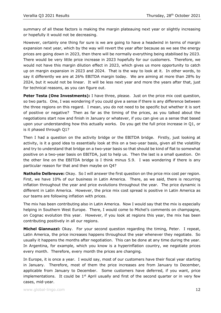summary of all these factors is making the margin plateauing next year or slightly increasing or hopefully it would not be decreasing.

However, certainly one thing for sure is we are going to have a headwind in terms of margin expansion next year, which by the way will revert the year after because as we see the energy prices are going down in 2023, then there will be normally everything being stabilised by 2023. There would be very little price increase in 2023 hopefully for our customers. Therefore, we would not have this margin dilution effect in 2023, which gives us more opportunity to catch up on margin expansion in 2023 and 2024. That is the way to look at it. In other words, to say it differently we are at 26% EBITDA margin today. We are aiming at more than 28% by 2024, but it would not be linear. It will be less next year and more the years after that, just for technical reasons, as you can figure out.

**Peter Testa (One Investments):** I have three, please. Just on the price mix cost question, so two parts. One, I was wondering if you could give a sense if there is any difference between the three regions on this regard. I mean, you do not need to be specific but whether it is sort of positive or negative? Then as far as the timing of the prices, as you talked about the negotiations start now and finish in January or whatever, if you can give us a sense that based upon your understanding how this actually works. Do you get the full price increase in Q1, or is it phased through Q1?

Then I had a question on the activity bridge or the EBITDA bridge. Firstly, just looking at activity, is it a good idea to essentially look at this on a two-year basis, given all the volatility and try to understand that bridge on a two-year basis so that should be kind of flat to somewhat positive on a two-year basis on EBITDA, just to help us. Then the last is a small question. On the other line on the EBITDA bridge is I think minus 5.9. I was wondering if there is any particular reason for that and then maybe on Q4?

**Nathalie Delbreuve:** Okay. So I will answer the first question on the price mix cost per region. First, we have 10% of our business in Latin America. There, as we said, there is recurring inflation throughout the year and price evolutions throughout the year. The price dynamic is different in Latin America. However, the price mix cost spread is positive in Latin America as our teams are following inflation with prices.

The mix has been contributing also in Latin America. Now I would say that the mix is especially helping in Southern West Europe. There, I would come to Michel's comments on champagne, on Cognac evolution this year. However, if you look at regions this year, the mix has been contributing positively in all our regions.

**Michel Giannuzzi:** Okay. For your second question regarding the timing, Peter. I repeat, Latin America, the price increases happens throughout the year whenever they negotiate. So usually it happens the months after negotiation. This can be done at any time during the year. In Argentina, for example, which you know is a hyperinflation country, we negotiate prices every month. Therefore, every month the prices are changing.

In Europe, it is once a year. I would say, most of our customers have their fiscal year starting in January. Therefore, most of them the price increases are from January to December, applicable from January to December. Some customers have deferred, if you want, price implementations. It could be  $1<sup>st</sup>$  April usually and first of the second quarter or in very few cases, mid-year.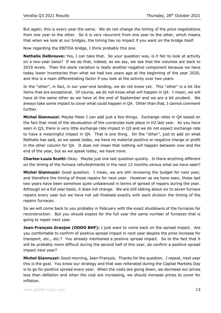But again, this is every year the same. We do not change the timing of the price negotiations from one year to the other. So it is very recurrent from one year to the other, which means that when we look at our bridges, the timing has no impact if you want on the bridge itself.

Now regarding the EBITDA bridge, I think probably this one.

**Nathalie Delbreuve:** Yes, I can take that. So your question was, is it fair to look at activity on a two-year basis? If we do that, indeed, as we say, we see that the volumes are back to 2019 levels. Then the stock variation is really another negative component because we have today lower inventories than what we had two years ago at the beginning of the year 2020, and this is a main differentiating factor if you look at the activity over two years.

In the "other", in fact, in our year-end lending, we do not know yet. This "other" is a bit like items that are exceptional. Of course, we do not know what will happen in Q4. I mean, we will have at the same other as we have at the end of September and we are a bit prudent. We always take some impact to cover what could happen in Q4. Other than that, I cannot comment further.

**Michel Giannuzzi:** Maybe Peter I can add just a few things. Exchange rates in Q4 based on the fact that most of the devaluation of the currencies took place in H2 last year. As you have seen in Q3, there is very little exchange rate impact in Q3 and we do not expect exchange rate to have a meaningful impact in Q4. That is one thing. On the "other", just to add on what Nathalie has said, as we speak today, we have no material positive or negative charge or profit in the other column for Q4. It does not mean that nothing will happen between now and the end of the year, but as we speak today, we have none.

**Charles-Louis Scotti:** Okay. Maybe just one last question quickly. Is there anything different on the timing of the furnace refurbishments in the next 12 months versus what we have seen?

**Michel Giannuzzi:** Good question. I mean, we are still reviewing the budget for next year, and therefore the timing of those repairs for next year. However as we have seen, those last two years have been somehow quite unbalanced in terms of spread of repairs during the year. Although on a full year basis, it does not change. We are still talking about six to seven furnace repairs every year but we have not yet finalised exactly with each division the timing of the repairs furnaces.

So we will come back to you probably in February with the exact shutdowns of the furnaces for reconstruction. But you should expect for the full year the same number of furnaces that is going to repair next year.

**Jean-François Granjon (ODDO BHF):** I just want to come back on the spread impact. Are you comfortable to confirm of positive spread impact in next year despite the price increase for transport, etc., etc.? You already mentioned a positive spread impact. So to the fact that it will be probably more difficult during the second half of this year, do confirm a positive spread impact next year?

**Michel Giannuzzi:** Good morning, Jean-François. Thanks for the question. I repeat, next year this is the goal. You know our strategy and that was reiterated during the Capital Markets Day is to go for positive spread every year. When the costs are going down, we decrease our prices less than deflation and when the cost are increasing, we should increase prices to cover for inflation.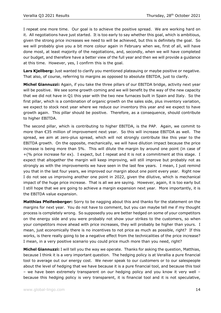I repeat one more time. Our goal is to achieve the positive spread. We are working hard on it. All negotiations have just started. It is too early to say whether this goal, which is ambitious, given the strong price increases we need to will be achieved, but this is definitely the goal. So we will probably give you a bit more colour again in February when we, first of all, will have done most, at least majority of the negotiations, and, secondly, when we will have completed our budget, and therefore have a better view of the full year and then we will provide a guidance at this time. However, yes, I confirm this is the goal.

**Lars Kjellberg:** Just wanted to clarify you mentioned plateauing or maybe positive or negative. That also, of course, referring to margins as opposed to absolute EBITDA, just to clarify.

**Michel Giannuzzi:** Again, if you take the three pillars of our EBITDA bridge, activity next year will be positive. We see some growth coming and we will benefit by the way of the new capacity that we did not have in Q1 this year with the two new furnaces built in Spain and Italy. So the first pillar, which is a combination of organic growth on the sales side, plus inventory variation, we expect to stock next year where we reduce our inventory this year and we expect to have growth again. This pillar should be positive. Therefore, as a consequence, should contribute to higher EBITDA.

The second pillar, which is contributing to higher EBITDA, is the PAP. Again, we commit to more than €35 million of improvement next year. So this will increase EBITDA as well. The spread, we aim at zero-plus spread, which will not strongly contribute like this year to the EBITDA growth. On the opposite, mechanically, we will have dilution impact because the price increase is being more than 5%. This will dilute the margin by around one point (in case of +(% price increase for ex). I expect, but I repeat and it is not a commitment at this stage. I expect that altogether the margin will keep improving, will still improve but probably not as strongly as with the improvements we have seen in the last few years. I mean, I just remind you that in the last four years, we improved our margin about one point every year. Right now I do not see us improving another one point in 2022, given the dilutive, which is mechanical impact of the huge price increase. That is all we are saying. However, again, it is too early but I still hope that we are going to achieve a margin expansion next year. More importantly, it is the EBITDA value expansion.

**Matthias Pfeifenberger:** Sorry to be nagging about this and thanks for the statement on the margins for next year. You do not have to comment, but you can maybe tell me if my thought process is completely wrong. So supposedly you are better hedged on some of your competitors on the energy side and you were probably not show your strikes to the customers, so when your competitors move ahead with price increases, they will probably be higher than yours. I mean, just economically there is no incentives to not price as much as possible, right? If this works, is there really going to be a negative effect from the technicalities of the price increase? I mean, in a very positive scenario you could price much more than you need, right?

**Michel Giannuzzi:** I will tell you the way we operate. Thanks for asking the question, Matthias, because I think it is a very important question. The hedging policy is at Verallia a pure financial tool to average out our energy cost. We never speak to our customers or to our salespeople about the level of hedging that we have because it is a pure financial tool, and because this tool – we have been extremely transparent on our hedging policy and you know it very well – because this hedging policy is very transparent, it is financial tool and it is not speculative,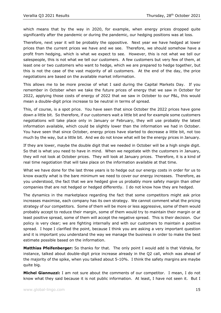which means that by the way in 2020, for example, when energy prices dropped quite significantly after the pandemic or during the pandemic, our hedging positions was at loss.

Therefore, next year it will be probably the oppositive. Next year we have hedged at lower prices than the current prices we have and we see. Therefore, we should somehow have a profit from hedging, which is what we expect to see. However, this is not what we tell our salespeople, this is not what we tell our customers. A few customers but very few of them, at least one or two customers who want to hedge, which we are prepared to hedge together, but this is not the case of the vast majority of all customers. At the end of the day, the price negotiations are based on the available market information.

This allows me to be more precise of what I said during the Capital Markets Day. If you remember in October when we take the future prices of energy that we saw in October for 2022, applying those costs of energy of 2022 that we saw in October to our P&L, this would mean a double-digit price increase to be neutral in terms of spread.

This, of course, is a spot price. You have seen that since October the 2022 prices have gone down a little bit. So therefore, if our customers wait a little bit and for example some customers negotiations will take place only in January or February, they will use probably the latest information available, which could be slightly lower than the information we had in October. You have seen that since October, energy prices have started to decrease a little bit, not too much by the way, but a little bit. And we do not know what will be the energy prices in January.

If they are lower, maybe the double digit that we needed in October will be a high single digit. So that is what you need to have in mind. When we negotiate with the customers in January, they will not look at October prices. They will look at January prices. Therefore, it is a kind of real time negotiation that will take place on the information available at that time.

What we have done for the last three years is to hedge out our energy costs in order for us to know exactly what is the bare minimum we need to cover our energy increases. Therefore, as you understood, the fact that we are hedged give us probably more safety margin than other companies that are not hedged or hedged differently. I do not know how they are hedged.

The dynamics in the marketplace regarding the fact that some competitors might ask price increases maximise, each company has its own strategy. We cannot comment what the pricing strategy of our competitors. Some of them will be more or less aggressive, some of them would probably accept to reduce their margin, some of them would try to maintain their margin or at least positive spread, some of them will accept the negative spread. This is their decision. Our policy is very clear; we are fighting internally and with our customers to maintain a positive spread. I hope I clarified the point, because I think you are asking a very important question and it is important you understand the way we manage the business in order to make the best estimate possible based on the information.

**Matthias Pfeifenberger:** So thanks for that. The only point I would add is that Vidrala, for instance, talked about double-digit price increase already in the Q2 call, which was ahead of the majority of the spike, when you talked about 5-10%. I think the safety margins are maybe quite big.

**Michel Giannuzzi:** I am not sure about the comments of our competitor. I mean, I do not know what they said because it is not public information. At least, I have not seen it. But I